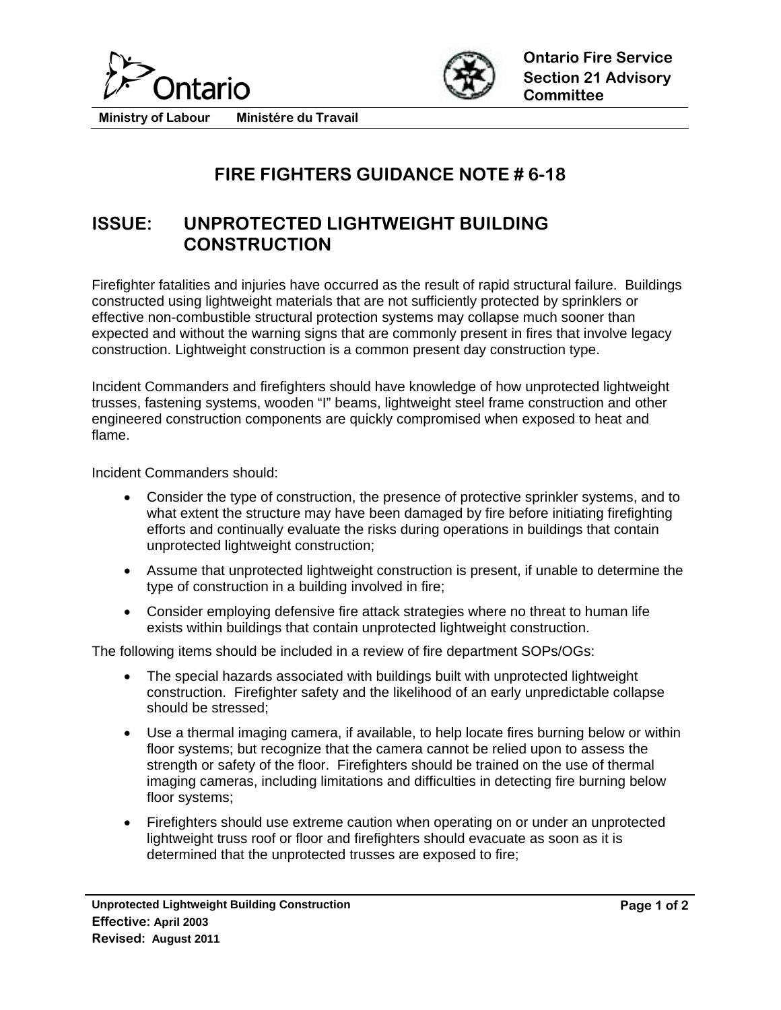



**Ministry of Labour Ministére du Travail** 

## **FIRE FIGHTERS GUIDANCE NOTE # 6-18**

## **ISSUE: UNPROTECTED LIGHTWEIGHT BUILDING CONSTRUCTION**

Firefighter fatalities and injuries have occurred as the result of rapid structural failure. Buildings constructed using lightweight materials that are not sufficiently protected by sprinklers or effective non-combustible structural protection systems may collapse much sooner than expected and without the warning signs that are commonly present in fires that involve legacy construction. Lightweight construction is a common present day construction type.

Incident Commanders and firefighters should have knowledge of how unprotected lightweight trusses, fastening systems, wooden "I" beams, lightweight steel frame construction and other engineered construction components are quickly compromised when exposed to heat and flame.

Incident Commanders should:

- Consider the type of construction, the presence of protective sprinkler systems, and to what extent the structure may have been damaged by fire before initiating firefighting efforts and continually evaluate the risks during operations in buildings that contain unprotected lightweight construction;
- Assume that unprotected lightweight construction is present, if unable to determine the type of construction in a building involved in fire;
- Consider employing defensive fire attack strategies where no threat to human life exists within buildings that contain unprotected lightweight construction.

The following items should be included in a review of fire department SOPs/OGs:

- The special hazards associated with buildings built with unprotected lightweight construction. Firefighter safety and the likelihood of an early unpredictable collapse should be stressed;
- Use a thermal imaging camera, if available, to help locate fires burning below or within floor systems; but recognize that the camera cannot be relied upon to assess the strength or safety of the floor. Firefighters should be trained on the use of thermal imaging cameras, including limitations and difficulties in detecting fire burning below floor systems;
- Firefighters should use extreme caution when operating on or under an unprotected lightweight truss roof or floor and firefighters should evacuate as soon as it is determined that the unprotected trusses are exposed to fire;